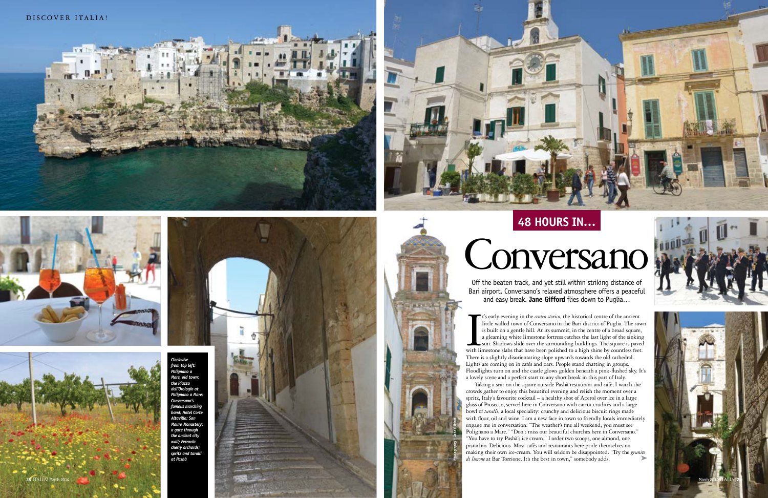







In the United States t's early evening in the *centro storico*, the historical centre of the ancient little walled town of Conversano in the Bari district of Puglia. The town is built on a gentle hill. At its summit, in the centre of a broad square, a gleaming white limestone fortress catches the last light of the sinking sun. Shadows slide over the surrounding buildings. The square is paved with limestone slabs that have been polished to a high shine by countless feet. There is a slightly disorientating slope upwards towards the old cathedral. Lights are coming on in cafés and bars. People stand chatting in groups. Floodlights turn on and the castle glows golden beneath a pink-flushed sky. It's a lovely scene and a perfect start to any short break in this part of Italy.

Taking a seat on the square outside Pashà restaurant and café, I watch the crowds gather to enjoy this beautiful evening and relish the moment over a spritz, Italy's favourite cocktail – a healthy shot of Aperol over ice in a large glass of Prosecco, served here in Conversano with carrot crudités and a large bowl of *taralli*, a local speciality: crunchy and delicious biscuit rings made with flour, oil and wine. I am a new face in town so friendly locals immediately engage me in conversation. "The weather's fine all weekend, you must see Polignano a Mare." "Don't miss our beautiful churches here in Conversano." "You have to try Pashà's ice cream." I order two scoops, one almond, one pistachio. Delicious. Most cafés and restaurants here pride themselves on making their own ice-cream. You will seldom be disappointed. "Try the *granite di limone* at Bar Torrione. It's the best in town," somebody adds. ➤

Off the beaten track, and yet still within striking distance of Bari airport, Conversano's relaxed atmosphere offers a peaceful and easy break. **Jane Gifford** flies down to Puglia…

# Conversano



# **48 hours in…**





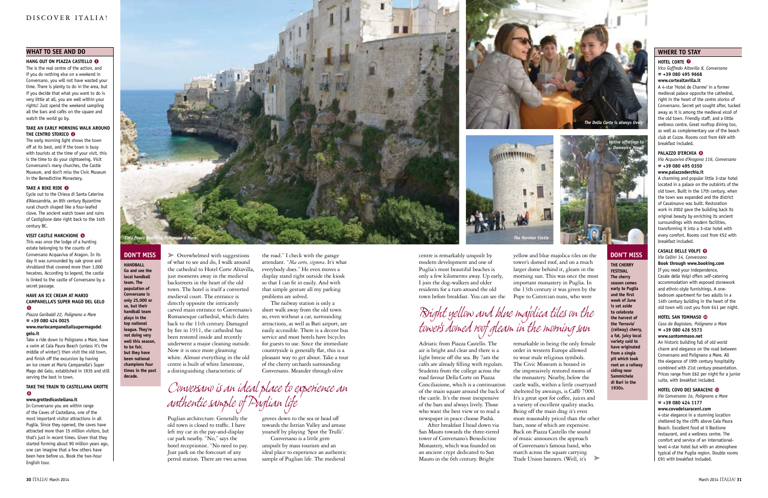**handball Go and see the local handball team. The population of Conversano is only 25,000 or so, but their handball team plays in the top national league. They're not doing very**  well this season **to be fair, but they have been national champions four times in the past decade.**

#### **don't miss**

**the Cherry Festival The cherry season comes early to Puglia and the first week of June is set aside to celebrate the harvest of the 'ferrovia' (railway) cherry, a fat, juicy local variety said to have originated from a single pit which took root on a railway siding near Sammichele di Bari in the 1930s.**

#### **don't miss**

► Overwhelmed with suggestions of what to see and do, I walk around the cathedral to Hotel Corte Altavilla, just moments away in the medieval backstreets in the heart of the old town. The hotel is itself a converted medieval court. The entrance is directly opposite the intricately carved main entrance to Conversano's Romanesque cathedral, which dates back to the 11th century. Damaged by fire in 1911, the cathedral has been restored inside and recently underwent a major cleaning outside. Now it is once more gleaming white. Almost everything in the old centre is built of white limestone, a distinguishing characteristic of

#### **what to see and do**

Puglian architecture. Generally the old town is closed to traffic. I have left my car in the pay-and-display car park nearby. "No," says the hotel receptionist. "No need to pay. Just park on the forecourt of any petrol station. There are two across

the road." I check with the garage attendant. "*Ma certo, signora*. It's what everybody does." He even moves a display stand right outside the kiosk so that I can fit in easily. And with that simple gesture all my parking problems are solved.

The railway station is only a short walk away from the old town so, even without a car, surrounding attractions, as well as Bari airport, are easily accessible. There is a decent bus service and most hotels have bicycles for guests to use. Since the immediate countryside is generally flat, this is a pleasant way to get about. Take a tour of the cherry orchards surrounding Conversano. Meander through olive

groves down to the sea or head off towards the Istrian Valley and amuse yourself by playing 'Spot the Trulli'.

#### **Take an early morning walk around THE CENTRO STORICO <sup>o</sup>**

Conversano is a little gem unspoilt by mass tourism and an ideal place to experience an authentic sample of Puglian life. The medieval

centre is remarkably unspoilt by modern development and one of Puglia's most beautiful beaches is only a few kilometres away. Up early, I join the dog-walkers and older residents for a turn around the old

town before breakfast. You can see the

Adriatic from Piazza Castello. The air is bright and clear and there is a light breeze off the sea. By 7am the cafés are already filling with regulars. Students from the college across the road favour Della Corte on Piazza Conciliazione, which is a continuation of the main square around the back of the castle. It's the most inexpensive of the bars and always lively. Those who want the best view or to read a newspaper in peace choose Pashà.

After breakfast I head down via San Mauro towards the three-tiered tower of Conversano's Benedictine Monastery, which was founded on an ancient crypt dedicated to San Mauro in the 6th century. Bright

yellow and blue majolica tiles on the tower's domed roof, and on a much larger dome behind it, gleam in the morning sun. This was once the most important monastery in Puglia. In the 13th century it was given by the Pope to Cistercian nuns, who were

**The Norman** 

remarkable in being the only female order in western Europe allowed to wear male religious symbols. The Civic Museum is housed in the impressively restored rooms of the monastery. Nearby, below the castle walls, within a little courtyard sheltered by awnings, is Caffè 7000. It's a great spot for coffee, juices and a variety of excellent quality snacks. Being off the main drag it's even more reasonably priced than the other bars, none of which are expensive. Back on Piazza Castello the sound of music announces the approach of Conversano's famous band, who march across the square carrying Trade Union banners. (Well, it's

**Hang out on Piazza Castello • 1** The is the real centre of the action, and if you do nothing else on a weekend in Conversano, you will not have wasted your time. There is plenty to do in the area, but if you decide that what you want to do is very little at all, you are well within your rights! Just spend the weekend sampling all the bars and cafés on the square and watch the world go by.

The early morning light shows the town off at its best, and if the town is busy with tourists at the time of your visit, this is the time to do your sightseeing. Visit Conversano's many churches, the Castle Museum, and don't miss the Civic Museum in the Benedictine Monastery.

## **TAKE A BIKE RIDE <sup>●</sup>**

Cycle out to the Chiesa di Santa Caterina d'Alessandria, an 8th century Byzantine rural church shaped like a four-leafed clove. The ancient watch tower and ruins of Castiglione date right back to the 14th century BC.

## **Visit Castle Marchione • 4**

This was once the lodge of a hunting estate belonging to the counts of Conversano Acquaviva of Aragon. In its day it was surrounded by oak grove and shrubland that covered more than 1,000 hecatres. According to legend, the castle is linked to the castle of Conversano by a secret passage.

#### **have an ice cream at Mario Campanella's Super Mago del Gelo • 5**

*Piazza Garibaldi 22, Polignano a Mare*  % **+39 080 424 0025 www.mariocampanellailsupermagodel**

#### **gelo.it**

Take a ride down to Polignano a Mare, have a swim at Cala Paura Beach (unless it's the middle of winter!) then visit the old town, and finish off the excursion by having an ice cream at Mario Campanella's Super Mago del Gelo, established in 1935 and still serving the best in town.

#### **Take the train to Castellana Grotte • 6**

#### **www.grottedicastellana.it**

In Conversano you are within range of the Caves of Castellana, one of the most important visitor attractions in all Puglia. Since they opened, the caves have attracted more than 15 million visitors, but that's just in recent times. Given that they started forming about 90 million years ago, one can imagine that a few others have been here before us. Book the two-hour English tour.

# *Bright yellow and blue majolica tiles on the tower's domed roof gleam in the morning sun*

## *Conversano is an ideal place to experience an authentic sample of Puglian life*



#### **where to stay**

## **HOTEL CORTE •**<br>*Vice Goffredo Alta*

*Vico Goffredo Altavilla 8, Conversano* % **+39 080 495 9668 www.cortealtavilla.it**

A 4-star 'Hotel de Charme' in a former medieval palace opposite the cathedral, right in the heart of the *centro storico* of Conversano. Secret yet sought after, tucked away as it is among the medieval *vicoli* of the old town. Friendly staff, and a little wellness centre. Great rooftop dining too, as well as complementary use of the beach club at Cozze. Rooms cost from €69 with breakfast included.

## **PALAZZO D'ERCHIA <sup>8</sup>**

*Via Acquaviva d'Aragona 116, Conversano* % **+39 080 495 0350**

#### **www.palazzoderchia.it**

A charming and popular little 3-star hotel located in a palace on the outskirts of the old town. Built in the 17th century, when the town was expanded and the district of Casalnuovo was built. Restoration work in 2002 gave the building back its original beauty by enriching its ancient surroundings with modern facilities, transforming it into a 3-star hotel with every comfort. Rooms cost from €52 with breakfast included.

## **Casale Delle Volpi • 9**

*Via Cellini 14, Conversano* **Book through www.booking.com**  If you need your independence, Casale delle Volpi offers self-catering accommodation with exposed stonework and ethnic-style furnishings. A onebedroom apartment for two adults in a 14th century building in the heart of the old town will cost you from €41 per night.

## **HOTEL SAN TOMMASO <sup>©</sup>**

*Casa da Bagiolaro, Polignano a Mare* % **+39 080 426 5573**

#### **www.santommaso.net**

An historic building full of old world charm and elegance on the road between Conversano and Polignano a Mare. All the elegance of 19th century hospitality combined with 21st century presentation. Prices range from £62 per night for a junior suite, with breakfast included.

## **HOTEL COVO DEI SARACENI <sup>®</sup>**

*Via Conversano 1a, Polignano a Mare*  % **+39 080 424 1177** 

#### **www.covodeisaraceni.com**

4-star elegance in a stunning location sheltered by the cliffs above Cala Paura Beach. Excellent food at il Bastione restaurant, and a wellness centre. The comfort and service of an internationallevel 4-star hotel but with an atmosphere typical of the Puglia region. Double rooms ➤ £91 with breakfast included.





#### discover italia!